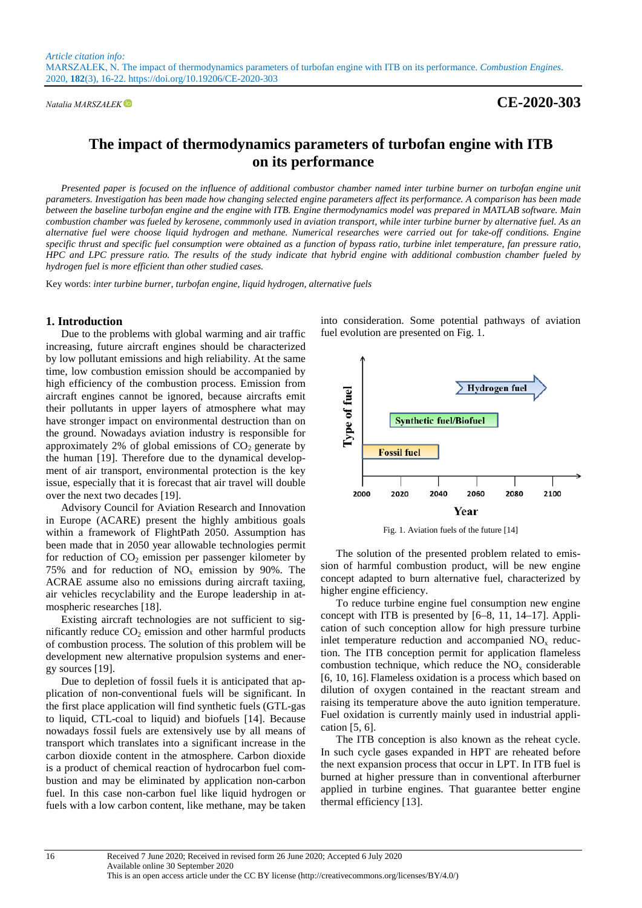## *Natalia MARSZAŁEK* **CE-2020-303**

# **The impact of thermodynamics parameters of turbofan engine with ITB on its performance**

*Presented paper is focused on the influence of additional combustor chamber named inter turbine burner on turbofan engine unit parameters. Investigation has been made how changing selected engine parameters affect its performance. A comparison has been made between the baseline turbofan engine and the engine with ITB. Engine thermodynamics model was prepared in MATLAB software. Main combustion chamber was fueled by kerosene, commmonly used in aviation transport, while inter turbine burner by alternative fuel. As an alternative fuel were choose liquid hydrogen and methane. Numerical researches were carried out for take-off conditions. Engine specific thrust and specific fuel consumption were obtained as a function of bypass ratio, turbine inlet temperature, fan pressure ratio, HPC and LPC pressure ratio. The results of the study indicate that hybrid engine with additional combustion chamber fueled by hydrogen fuel is more efficient than other studied cases.* 

Key words: *inter turbine burner, turbofan engine, liquid hydrogen, alternative fuels*

### **1. Introduction**

Due to the problems with global warming and air traffic increasing, future aircraft engines should be characterized by low pollutant emissions and high reliability. At the same time, low combustion emission should be accompanied by high efficiency of the combustion process. Emission from aircraft engines cannot be ignored, because aircrafts emit their pollutants in upper layers of atmosphere what may have stronger impact on environmental destruction than on the ground. Nowadays aviation industry is responsible for approximately 2% of global emissions of  $CO<sub>2</sub>$  generate by the human [19]. Therefore due to the dynamical development of air transport, environmental protection is the key issue, especially that it is forecast that air travel will double over the next two decades [19].

Advisory Council for Aviation Research and Innovation in Europe (ACARE) present the highly ambitious goals within a framework of FlightPath 2050. Assumption has been made that in 2050 year allowable technologies permit for reduction of  $CO<sub>2</sub>$  emission per passenger kilometer by 75% and for reduction of  $NO<sub>x</sub>$  emission by 90%. The ACRAE assume also no emissions during aircraft taxiing, air vehicles recyclability and the Europe leadership in atmospheric researches [18].

Existing aircraft technologies are not sufficient to significantly reduce  $CO<sub>2</sub>$  emission and other harmful products of combustion process. The solution of this problem will be development new alternative propulsion systems and energy sources [19].

Due to depletion of fossil fuels it is anticipated that application of non-conventional fuels will be significant. In the first place application will find synthetic fuels (GTL-gas to liquid, CTL-coal to liquid) and biofuels [14]. Because nowadays fossil fuels are extensively use by all means of transport which translates into a significant increase in the carbon dioxide content in the atmosphere. Carbon dioxide is a product of chemical reaction of hydrocarbon fuel combustion and may be eliminated by application non-carbon fuel. In this case non-carbon fuel like liquid hydrogen or fuels with a low carbon content, like methane, may be taken

into consideration. Some potential pathways of aviation fuel evolution are presented on Fig. 1.



Fig. 1. Aviation fuels of the future [14]

The solution of the presented problem related to emission of harmful combustion product, will be new engine concept adapted to burn alternative fuel, characterized by higher engine efficiency.

To reduce turbine engine fuel consumption new engine concept with ITB is presented by [6–8, 11, 14–17]. Application of such conception allow for high pressure turbine inlet temperature reduction and accompanied  $NO<sub>x</sub>$  reduction. The ITB conception permit for application flameless combustion technique, which reduce the  $NO<sub>x</sub>$  considerable [6, 10, 16]. Flameless oxidation is a process which based on dilution of oxygen contained in the reactant stream and raising its temperature above the auto ignition temperature. Fuel oxidation is currently mainly used in industrial application [5, 6].

The ITB conception is also known as the reheat cycle. In such cycle gases expanded in HPT are reheated before the next expansion process that occur in LPT. In ITB fuel is burned at higher pressure than in conventional afterburner applied in turbine engines. That guarantee better engine thermal efficiency [13].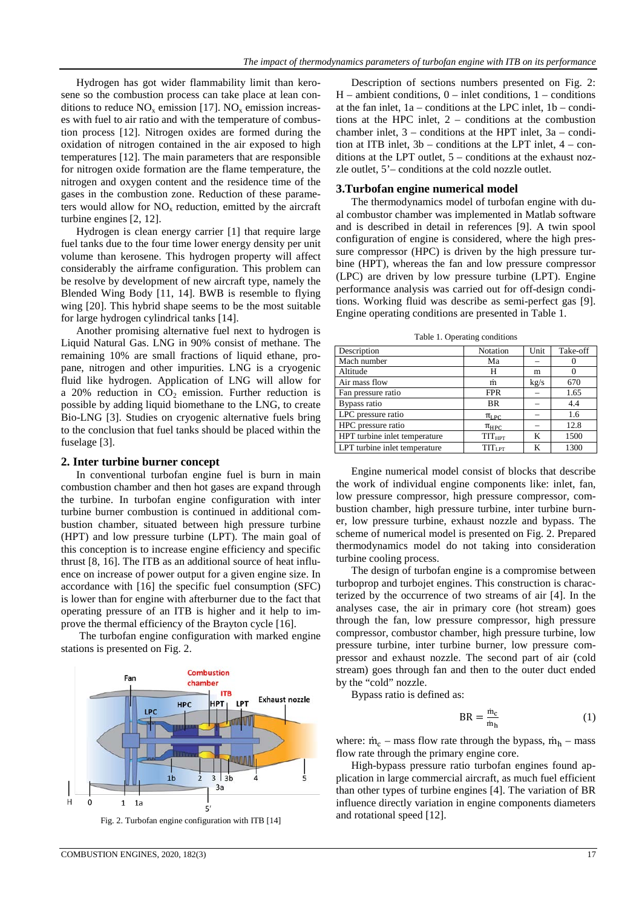Hydrogen has got wider flammability limit than kerosene so the combustion process can take place at lean conditions to reduce  $NO_x$  emission [17].  $NO_x$  emission increases with fuel to air ratio and with the temperature of combustion process [12]. Nitrogen oxides are formed during the oxidation of nitrogen contained in the air exposed to high temperatures [12]. The main parameters that are responsible for nitrogen oxide formation are the flame temperature, the nitrogen and oxygen content and the residence time of the gases in the combustion zone. Reduction of these parameters would allow for  $NO<sub>x</sub>$  reduction, emitted by the aircraft turbine engines [2, 12].

Hydrogen is clean energy carrier [1] that require large fuel tanks due to the four time lower energy density per unit volume than kerosene. This hydrogen property will affect considerably the airframe configuration. This problem can be resolve by development of new aircraft type, namely the Blended Wing Body [11, 14]. BWB is resemble to flying wing [20]. This hybrid shape seems to be the most suitable for large hydrogen cylindrical tanks [14].

Another promising alternative fuel next to hydrogen is Liquid Natural Gas. LNG in 90% consist of methane. The remaining 10% are small fractions of liquid ethane, propane, nitrogen and other impurities. LNG is a cryogenic fluid like hydrogen. Application of LNG will allow for a 20% reduction in  $CO<sub>2</sub>$  emission. Further reduction is possible by adding liquid biomethane to the LNG, to create Bio-LNG [3]. Studies on cryogenic alternative fuels bring to the conclusion that fuel tanks should be placed within the fuselage [3].

#### **2. Inter turbine burner concept**

In conventional turbofan engine fuel is burn in main combustion chamber and then hot gases are expand through the turbine. In turbofan engine configuration with inter turbine burner combustion is continued in additional combustion chamber, situated between high pressure turbine (HPT) and low pressure turbine (LPT). The main goal of this conception is to increase engine efficiency and specific thrust [8, 16]. The ITB as an additional source of heat influence on increase of power output for a given engine size. In accordance with [16] the specific fuel consumption (SFC) is lower than for engine with afterburner due to the fact that operating pressure of an ITB is higher and it help to improve the thermal efficiency of the Brayton cycle [16].

The turbofan engine configuration with marked engine stations is presented on Fig. 2.



Fig. 2. Turbofan engine configuration with ITB [14]

Description of sections numbers presented on Fig. 2:  $H$  – ambient conditions,  $0$  – inlet conditions,  $1$  – conditions at the fan inlet,  $1a$  – conditions at the LPC inlet,  $1b$  – conditions at the HPC inlet, 2 – conditions at the combustion chamber inlet,  $3$  – conditions at the HPT inlet,  $3a$  – condition at ITB inlet,  $3b$  – conditions at the LPT inlet,  $4 - \text{con-}$ ditions at the LPT outlet, 5 – conditions at the exhaust nozzle outlet, 5'– conditions at the cold nozzle outlet.

#### **3.Turbofan engine numerical model**

The thermodynamics model of turbofan engine with dual combustor chamber was implemented in Matlab software and is described in detail in references [9]. A twin spool configuration of engine is considered, where the high pressure compressor (HPC) is driven by the high pressure turbine (HPT), whereas the fan and low pressure compressor (LPC) are driven by low pressure turbine (LPT). Engine performance analysis was carried out for off-design conditions. Working fluid was describe as semi-perfect gas [9]. Engine operating conditions are presented in Table 1.

Table 1. Operating conditions

| Description                   | Notation                 | Unit | Take-off |
|-------------------------------|--------------------------|------|----------|
| Mach number                   | Ma                       |      | $\theta$ |
| Altitude                      | Н                        | m    |          |
| Air mass flow                 | m                        | kg/s | 670      |
| Fan pressure ratio            | <b>FPR</b>               |      | 1.65     |
| Bypass ratio                  | <b>BR</b>                |      | 4.4      |
| LPC pressure ratio            | $\pi_{\text{LPC}}$       |      | 1.6      |
| HPC pressure ratio            | $\pi_{\text{HPC}}$       |      | 12.8     |
| HPT turbine inlet temperature | <b>TIT<sub>HPT</sub></b> | K    | 1500     |
| LPT turbine inlet temperature | TIT <sub>LPT</sub>       | K    | 1300     |

Engine numerical model consist of blocks that describe the work of individual engine components like: inlet, fan, low pressure compressor, high pressure compressor, combustion chamber, high pressure turbine, inter turbine burner, low pressure turbine, exhaust nozzle and bypass. The scheme of numerical model is presented on Fig. 2. Prepared thermodynamics model do not taking into consideration turbine cooling process.

The design of turbofan engine is a compromise between turboprop and turbojet engines. This construction is characterized by the occurrence of two streams of air [4]. In the analyses case, the air in primary core (hot stream) goes through the fan, low pressure compressor, high pressure compressor, combustor chamber, high pressure turbine, low pressure turbine, inter turbine burner, low pressure compressor and exhaust nozzle. The second part of air (cold stream) goes through fan and then to the outer duct ended by the "cold" nozzle.

Bypass ratio is defined as:

$$
BR = \frac{\dot{m}_c}{\dot{m}_h} \tag{1}
$$

where:  $\dot{m}_c$  – mass flow rate through the bypass,  $\dot{m}_h$  – mass flow rate through the primary engine core.

High-bypass pressure ratio turbofan engines found application in large commercial aircraft, as much fuel efficient than other types of turbine engines [4]. The variation of BR influence directly variation in engine components diameters and rotational speed [12].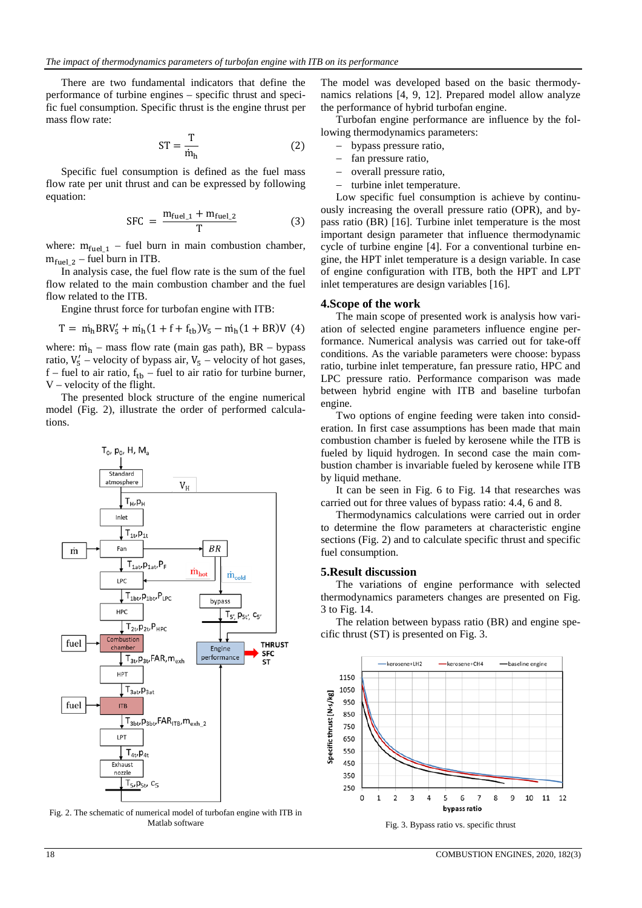There are two fundamental indicators that define the performance of turbine engines – specific thrust and specific fuel consumption. Specific thrust is the engine thrust per mass flow rate:

$$
ST = \frac{T}{\dot{m}_h} \tag{2}
$$

Specific fuel consumption is defined as the fuel mass flow rate per unit thrust and can be expressed by following equation:

$$
SFC = \frac{m_{\text{fuel}\_1} + m_{\text{fuel}\_2}}{T}
$$
 (3)

where:  $m_{fuel\_1}$  – fuel burn in main combustion chamber,  $m_{\text{fuel 2}}$  – fuel burn in ITB.

In analysis case, the fuel flow rate is the sum of the fuel flow related to the main combustion chamber and the fuel flow related to the ITB.

Engine thrust force for turbofan engine with ITB:

$$
T = m_h BRV_5' + m_h(1 + f + f_{tb})V_5 - m_h(1 + BR)V
$$
 (4)

where:  $\dot{m}_h$  – mass flow rate (main gas path), BR – bypass ratio,  $V'_5$  – velocity of bypass air,  $V_5$  – velocity of hot gases,  $f$  – fuel to air ratio,  $f_{\text{th}}$  – fuel to air ratio for turbine burner, V – velocity of the flight.

The presented block structure of the engine numerical model (Fig. 2), illustrate the order of performed calculations.



Fig. 2. The schematic of numerical model of turbofan engine with ITB in Matlab software

The model was developed based on the basic thermodynamics relations [4, 9, 12]. Prepared model allow analyze the performance of hybrid turbofan engine.

Turbofan engine performance are influence by the following thermodynamics parameters:

- − bypass pressure ratio,
- − fan pressure ratio,
- − overall pressure ratio,
- − turbine inlet temperature.

Low specific fuel consumption is achieve by continuously increasing the overall pressure ratio (OPR), and bypass ratio (BR) [16]. Turbine inlet temperature is the most important design parameter that influence thermodynamic cycle of turbine engine [4]. For a conventional turbine engine, the HPT inlet temperature is a design variable. In case of engine configuration with ITB, both the HPT and LPT inlet temperatures are design variables [16].

#### **4.Scope of the work**

The main scope of presented work is analysis how variation of selected engine parameters influence engine performance. Numerical analysis was carried out for take-off conditions. As the variable parameters were choose: bypass ratio, turbine inlet temperature, fan pressure ratio, HPC and LPC pressure ratio. Performance comparison was made between hybrid engine with ITB and baseline turbofan engine.

Two options of engine feeding were taken into consideration. In first case assumptions has been made that main combustion chamber is fueled by kerosene while the ITB is fueled by liquid hydrogen. In second case the main combustion chamber is invariable fueled by kerosene while ITB by liquid methane.

It can be seen in Fig. 6 to Fig. 14 that researches was carried out for three values of bypass ratio: 4.4, 6 and 8.

Thermodynamics calculations were carried out in order to determine the flow parameters at characteristic engine sections (Fig. 2) and to calculate specific thrust and specific fuel consumption.

#### **5.Result discussion**

The variations of engine performance with selected thermodynamics parameters changes are presented on Fig. 3 to Fig. 14.

The relation between bypass ratio (BR) and engine specific thrust (ST) is presented on Fig. 3.



Fig. 3. Bypass ratio vs. specific thrust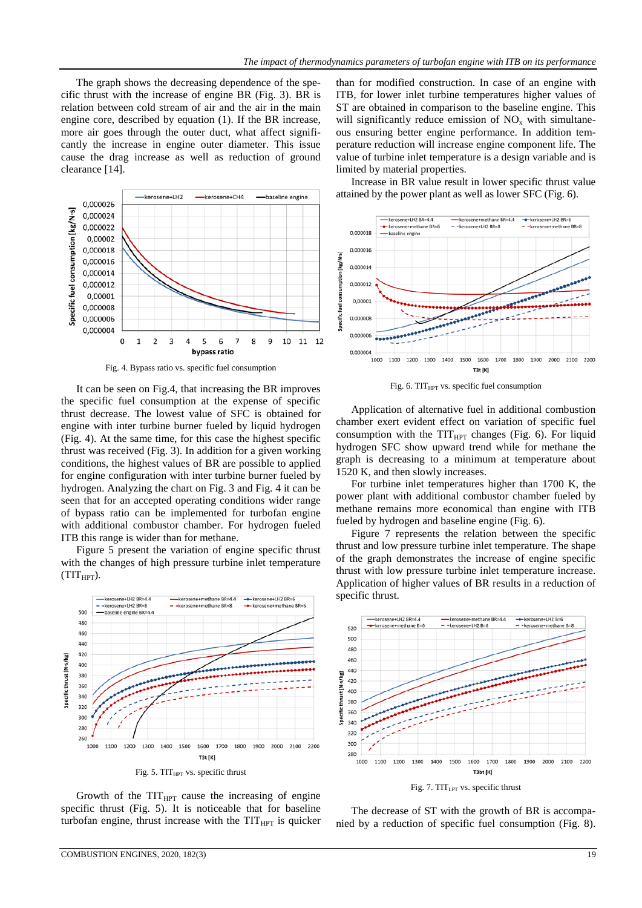The graph shows the decreasing dependence of the specific thrust with the increase of engine BR (Fig. 3). BR is relation between cold stream of air and the air in the main engine core, described by equation (1). If the BR increase, more air goes through the outer duct, what affect significantly the increase in engine outer diameter. This issue cause the drag increase as well as reduction of ground clearance [14].



Fig. 4. Bypass ratio vs. specific fuel consumption

It can be seen on Fig.4, that increasing the BR improves the specific fuel consumption at the expense of specific thrust decrease. The lowest value of SFC is obtained for engine with inter turbine burner fueled by liquid hydrogen (Fig. 4). At the same time, for this case the highest specific thrust was received (Fig. 3). In addition for a given working conditions, the highest values of BR are possible to applied for engine configuration with inter turbine burner fueled by hydrogen. Analyzing the chart on Fig. 3 and Fig. 4 it can be seen that for an accepted operating conditions wider range of bypass ratio can be implemented for turbofan engine with additional combustor chamber. For hydrogen fueled ITB this range is wider than for methane.

Figure 5 present the variation of engine specific thrust with the changes of high pressure turbine inlet temperature  $(TIT_{HPT})$ .



Growth of the  $TIT_{HPT}$  cause the increasing of engine specific thrust (Fig. 5). It is noticeable that for baseline turbofan engine, thrust increase with the  $TIT_{HPT}$  is quicker than for modified construction. In case of an engine with ITB, for lower inlet turbine temperatures higher values of ST are obtained in comparison to the baseline engine. This will significantly reduce emission of  $NO<sub>x</sub>$  with simultaneous ensuring better engine performance. In addition temperature reduction will increase engine component life. The value of turbine inlet temperature is a design variable and is limited by material properties.

Increase in BR value result in lower specific thrust value attained by the power plant as well as lower SFC (Fig. 6).



Fig. 6.  $TIT_{HPT}$  vs. specific fuel consumption

Application of alternative fuel in additional combustion chamber exert evident effect on variation of specific fuel consumption with the  $TIT_{HPT}$  changes (Fig. 6). For liquid hydrogen SFC show upward trend while for methane the graph is decreasing to a minimum at temperature about 1520 K, and then slowly increases.

For turbine inlet temperatures higher than 1700 K, the power plant with additional combustor chamber fueled by methane remains more economical than engine with ITB fueled by hydrogen and baseline engine (Fig. 6).

Figure 7 represents the relation between the specific thrust and low pressure turbine inlet temperature. The shape of the graph demonstrates the increase of engine specific thrust with low pressure turbine inlet temperature increase. Application of higher values of BR results in a reduction of specific thrust.



Fig. 7. TIT<sub>LPT</sub> vs. specific thrust

The decrease of ST with the growth of BR is accompanied by a reduction of specific fuel consumption (Fig. 8).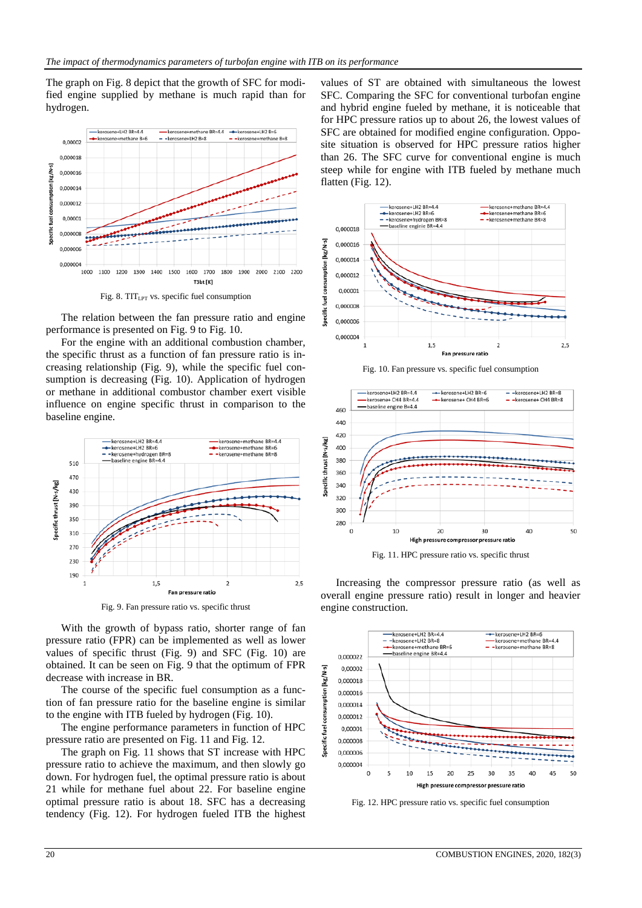The graph on Fig. 8 depict that the growth of SFC for modified engine supplied by methane is much rapid than for hydrogen.



The relation between the fan pressure ratio and engine performance is presented on Fig. 9 to Fig. 10.

For the engine with an additional combustion chamber, the specific thrust as a function of fan pressure ratio is increasing relationship (Fig. 9), while the specific fuel consumption is decreasing (Fig. 10). Application of hydrogen or methane in additional combustor chamber exert visible influence on engine specific thrust in comparison to the baseline engine.



Fig. 9. Fan pressure ratio vs. specific thrust

With the growth of bypass ratio, shorter range of fan pressure ratio (FPR) can be implemented as well as lower values of specific thrust (Fig. 9) and SFC (Fig. 10) are obtained. It can be seen on Fig. 9 that the optimum of FPR decrease with increase in BR.

The course of the specific fuel consumption as a function of fan pressure ratio for the baseline engine is similar to the engine with ITB fueled by hydrogen (Fig. 10).

The engine performance parameters in function of HPC pressure ratio are presented on Fig. 11 and Fig. 12.

The graph on Fig. 11 shows that ST increase with HPC pressure ratio to achieve the maximum, and then slowly go down. For hydrogen fuel, the optimal pressure ratio is about 21 while for methane fuel about 22. For baseline engine optimal pressure ratio is about 18. SFC has a decreasing tendency (Fig. 12). For hydrogen fueled ITB the highest

values of ST are obtained with simultaneous the lowest SFC. Comparing the SFC for conventional turbofan engine and hybrid engine fueled by methane, it is noticeable that for HPC pressure ratios up to about 26, the lowest values of SFC are obtained for modified engine configuration. Opposite situation is observed for HPC pressure ratios higher than 26. The SFC curve for conventional engine is much steep while for engine with ITB fueled by methane much flatten (Fig. 12).



Fig. 10. Fan pressure vs. specific fuel consumption





Increasing the compressor pressure ratio (as well as overall engine pressure ratio) result in longer and heavier engine construction.



Fig. 12. HPC pressure ratio vs. specific fuel consumption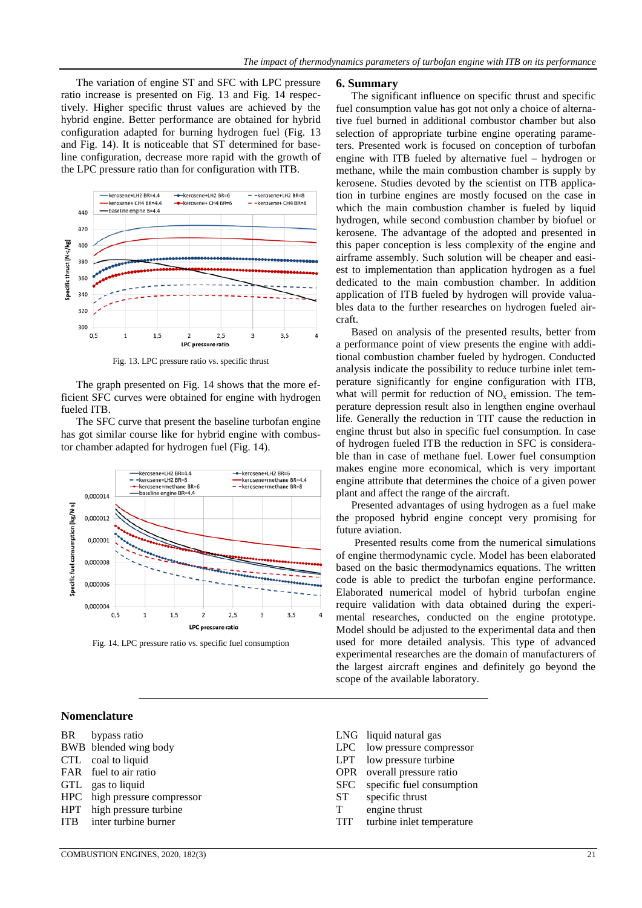The variation of engine ST and SFC with LPC pressure ratio increase is presented on Fig. 13 and Fig. 14 respectively. Higher specific thrust values are achieved by the hybrid engine. Better performance are obtained for hybrid configuration adapted for burning hydrogen fuel (Fig. 13 and Fig. 14). It is noticeable that ST determined for baseline configuration, decrease more rapid with the growth of the LPC pressure ratio than for configuration with ITB.



Fig. 13. LPC pressure ratio vs. specific thrust

The graph presented on Fig. 14 shows that the more efficient SFC curves were obtained for engine with hydrogen fueled ITB.

The SFC curve that present the baseline turbofan engine has got similar course like for hybrid engine with combustor chamber adapted for hydrogen fuel (Fig. 14).



Fig. 14. LPC pressure ratio vs. specific fuel consumption

#### **6. Summary**

The significant influence on specific thrust and specific fuel consumption value has got not only a choice of alternative fuel burned in additional combustor chamber but also selection of appropriate turbine engine operating parameters. Presented work is focused on conception of turbofan engine with ITB fueled by alternative fuel – hydrogen or methane, while the main combustion chamber is supply by kerosene. Studies devoted by the scientist on ITB application in turbine engines are mostly focused on the case in which the main combustion chamber is fueled by liquid hydrogen, while second combustion chamber by biofuel or kerosene. The advantage of the adopted and presented in this paper conception is less complexity of the engine and airframe assembly. Such solution will be cheaper and easiest to implementation than application hydrogen as a fuel dedicated to the main combustion chamber. In addition application of ITB fueled by hydrogen will provide valuables data to the further researches on hydrogen fueled aircraft.

Based on analysis of the presented results, better from a performance point of view presents the engine with additional combustion chamber fueled by hydrogen. Conducted analysis indicate the possibility to reduce turbine inlet temperature significantly for engine configuration with ITB, what will permit for reduction of  $NO<sub>x</sub>$  emission. The temperature depression result also in lengthen engine overhaul life. Generally the reduction in TIT cause the reduction in engine thrust but also in specific fuel consumption. In case of hydrogen fueled ITB the reduction in SFC is considerable than in case of methane fuel. Lower fuel consumption makes engine more economical, which is very important engine attribute that determines the choice of a given power plant and affect the range of the aircraft.

Presented advantages of using hydrogen as a fuel make the proposed hybrid engine concept very promising for future aviation.

Presented results come from the numerical simulations of engine thermodynamic cycle. Model has been elaborated based on the basic thermodynamics equations. The written code is able to predict the turbofan engine performance. Elaborated numerical model of hybrid turbofan engine require validation with data obtained during the experimental researches, conducted on the engine prototype. Model should be adjusted to the experimental data and then used for more detailed analysis. This type of advanced experimental researches are the domain of manufacturers of the largest aircraft engines and definitely go beyond the scope of the available laboratory.

## **Nomenclature**

- BR bypass ratio
- BWB blended wing body
- CTL coal to liquid
- FAR fuel to air ratio
- GTL gas to liquid<br>HPC high pressure
- high pressure compressor
- HPT high pressure turbine
- ITB inter turbine burner
- LNG liquid natural gas
- LPC low pressure compressor
- LPT low pressure turbine
- OPR overall pressure ratio
- SFC specific fuel consumption<br>ST specific thrust
- specific thrust
- T engine thrust
- TIT turbine inlet temperature